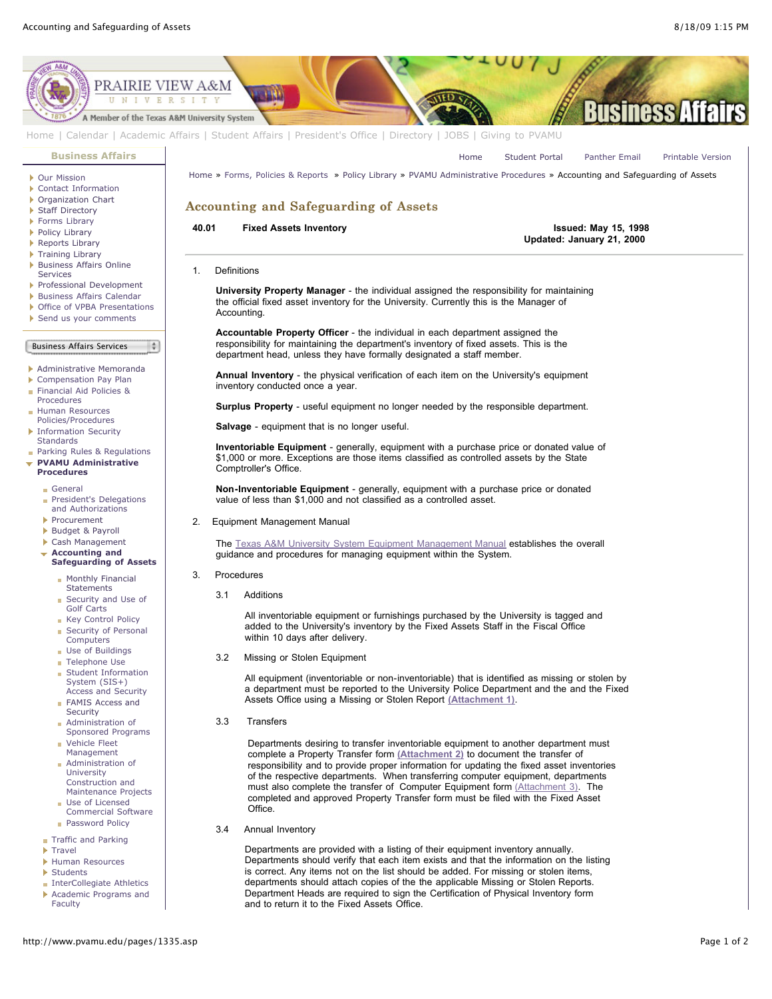